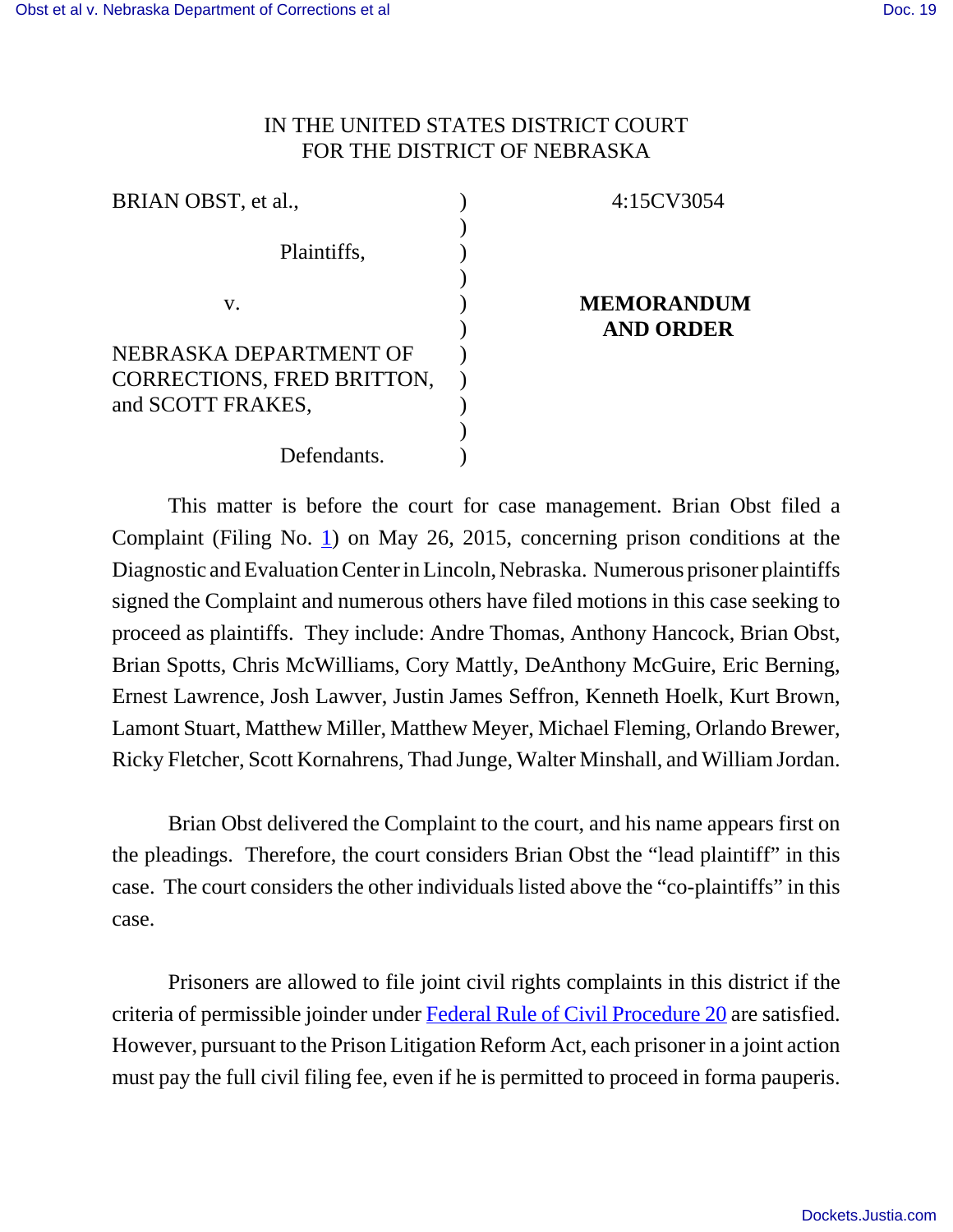## IN THE UNITED STATES DISTRICT COURT FOR THE DISTRICT OF NEBRASKA

| BRIAN OBST, et al.,        |  |
|----------------------------|--|
|                            |  |
| Plaintiffs,                |  |
|                            |  |
| V.                         |  |
|                            |  |
| NEBRASKA DEPARTMENT OF     |  |
| CORRECTIONS, FRED BRITTON, |  |
| and SCOTT FRAKES,          |  |
|                            |  |
| Defendants.                |  |

# **IEMORANDUM**

4:15CV3054

**AND ORDER**

This matter is before the court for case management. Brian Obst filed a Complaint (Filing No. 1) on May 26, 2015, concerning prison conditions at the Diagnostic and Evaluation Center in Lincoln, Nebraska. Numerous prisoner plaintiffs signed the Complaint and numerous others have filed motions in this case seeking to proceed as plaintiffs. They include: Andre Thomas, Anthony Hancock, Brian Obst, Brian Spotts, Chris McWilliams, Cory Mattly, DeAnthony McGuire, Eric Berning, Ernest Lawrence, Josh Lawver, Justin James Seffron, Kenneth Hoelk, Kurt Brown, Lamont Stuart, Matthew Miller, Matthew Meyer, Michael Fleming, Orlando Brewer, Ricky Fletcher, Scott Kornahrens, Thad Junge, Walter Minshall, and William Jordan.

Brian Obst delivered the Complaint to the court, and his name appears first on the pleadings. Therefore, the court considers Brian Obst the "lead plaintiff" in this case. The court considers the other individuals listed above the "co-plaintiffs" in this case.

Prisoners are allowed to file joint civil rights complaints in this district if the criteria of permissible joinder under Federal Rule of Civil Procedure 20 are satisfied. However, pursuant to the Prison Litigation Reform Act, each prisoner in a joint action must pay the full civil filing fee, even if he is permitted to proceed in forma pauperis.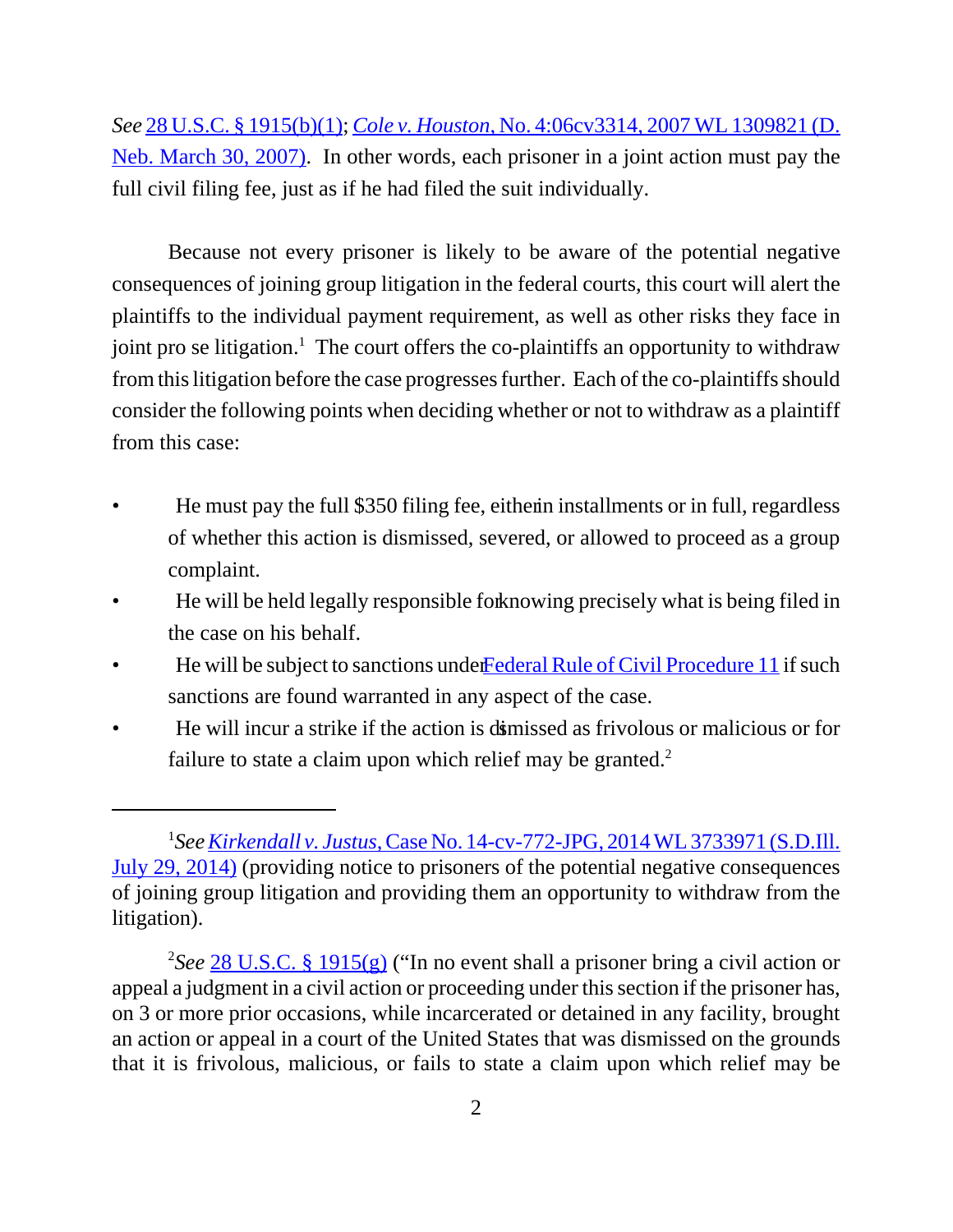*See* 28 U.S.C. § 1915(b)(1); *Cole v. Houston*, No. 4:06cv3314, 2007 WL 1309821 (D. Neb. March 30, 2007). In other words, each prisoner in a joint action must pay the full civil filing fee, just as if he had filed the suit individually.

Because not every prisoner is likely to be aware of the potential negative consequences of joining group litigation in the federal courts, this court will alert the plaintiffs to the individual payment requirement, as well as other risks they face in joint pro se litigation.<sup>1</sup> The court offers the co-plaintiffs an opportunity to withdraw from this litigation before the case progresses further. Each of the co-plaintiffs should consider the following points when deciding whether or not to withdraw as a plaintiff from this case:

- He must pay the full \$350 filing fee, either installments or in full, regardless of whether this action is dismissed, severed, or allowed to proceed as a group complaint.
- He will be held legally responsible for knowing precisely what is being filed in the case on his behalf.
- He will be subject to sanctions under Federal Rule of Civil Procedure 11 if such sanctions are found warranted in any aspect of the case.
- He will incur a strike if the action is dismissed as frivolous or malicious or for failure to state a claim upon which relief may be granted. $2$

<sup>1</sup> *SeeKirkendall v. Justus*, Case No. 14-cv-772-JPG, 2014 WL 3733971 (S.D.Ill. July 29, 2014) (providing notice to prisoners of the potential negative consequences of joining group litigation and providing them an opportunity to withdraw from the litigation).

<sup>2</sup> *See* 28 U.S.C. § 1915(g) ("In no event shall a prisoner bring a civil action or appeal a judgment in a civil action or proceeding under this section if the prisoner has, on 3 or more prior occasions, while incarcerated or detained in any facility, brought an action or appeal in a court of the United States that was dismissed on the grounds that it is frivolous, malicious, or fails to state a claim upon which relief may be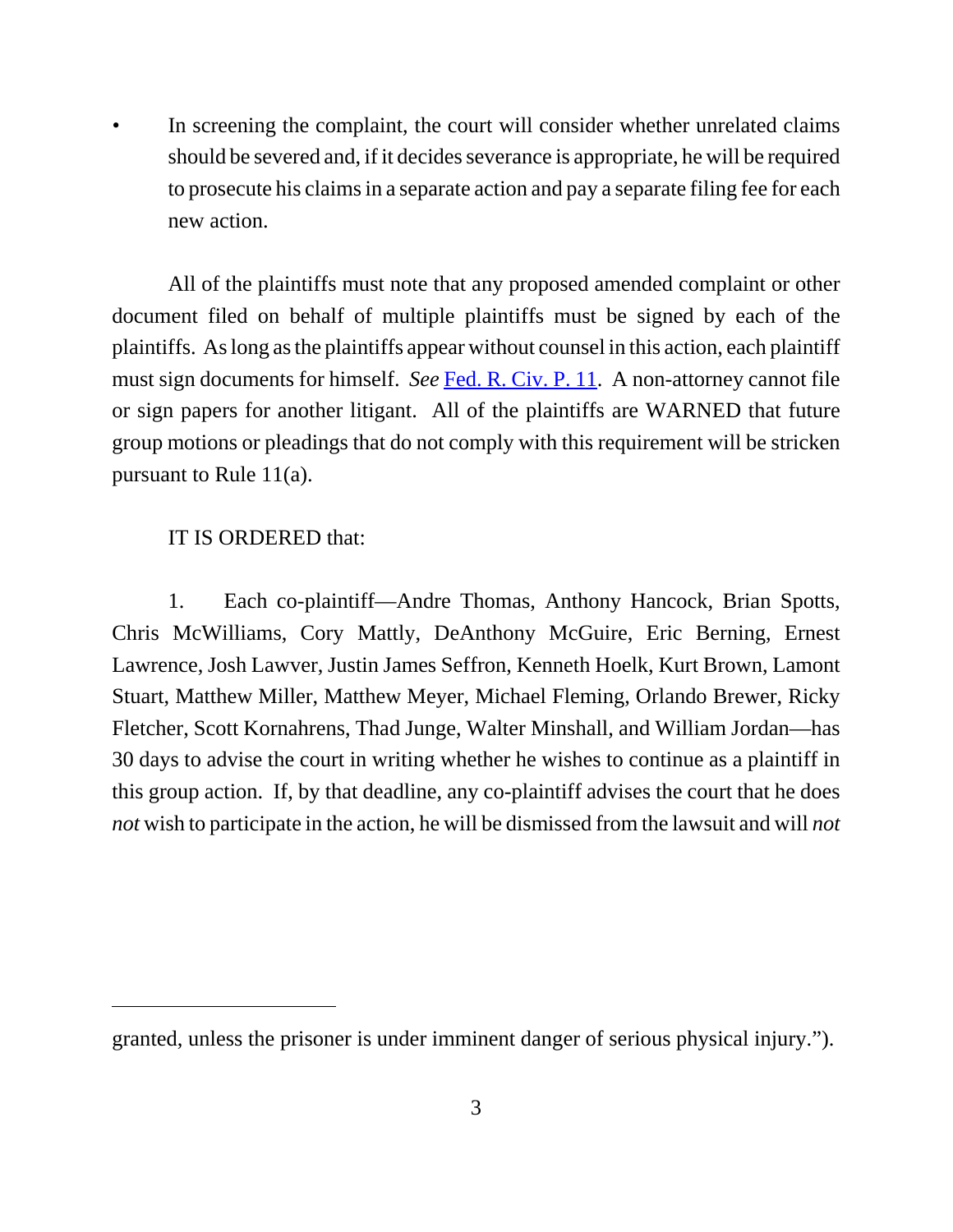*•* In screening the complaint, the court will consider whether unrelated claims should be severed and, if it decides severance is appropriate, he will be required to prosecute his claims in a separate action and pay a separate filing fee for each new action.

All of the plaintiffs must note that any proposed amended complaint or other document filed on behalf of multiple plaintiffs must be signed by each of the plaintiffs. As long as the plaintiffs appear without counsel in this action, each plaintiff must sign documents for himself. *See* Fed. R. Civ. P. 11. A non-attorney cannot file or sign papers for another litigant. All of the plaintiffs are WARNED that future group motions or pleadings that do not comply with this requirement will be stricken pursuant to Rule 11(a).

#### IT IS ORDERED that:

1. Each co-plaintiff—Andre Thomas, Anthony Hancock, Brian Spotts, Chris McWilliams, Cory Mattly, DeAnthony McGuire, Eric Berning, Ernest Lawrence, Josh Lawver, Justin James Seffron, Kenneth Hoelk, Kurt Brown, Lamont Stuart, Matthew Miller, Matthew Meyer, Michael Fleming, Orlando Brewer, Ricky Fletcher, Scott Kornahrens, Thad Junge, Walter Minshall, and William Jordan—has 30 days to advise the court in writing whether he wishes to continue as a plaintiff in this group action. If, by that deadline, any co-plaintiff advises the court that he does *not* wish to participate in the action, he will be dismissed from the lawsuit and will *not*

granted, unless the prisoner is under imminent danger of serious physical injury.").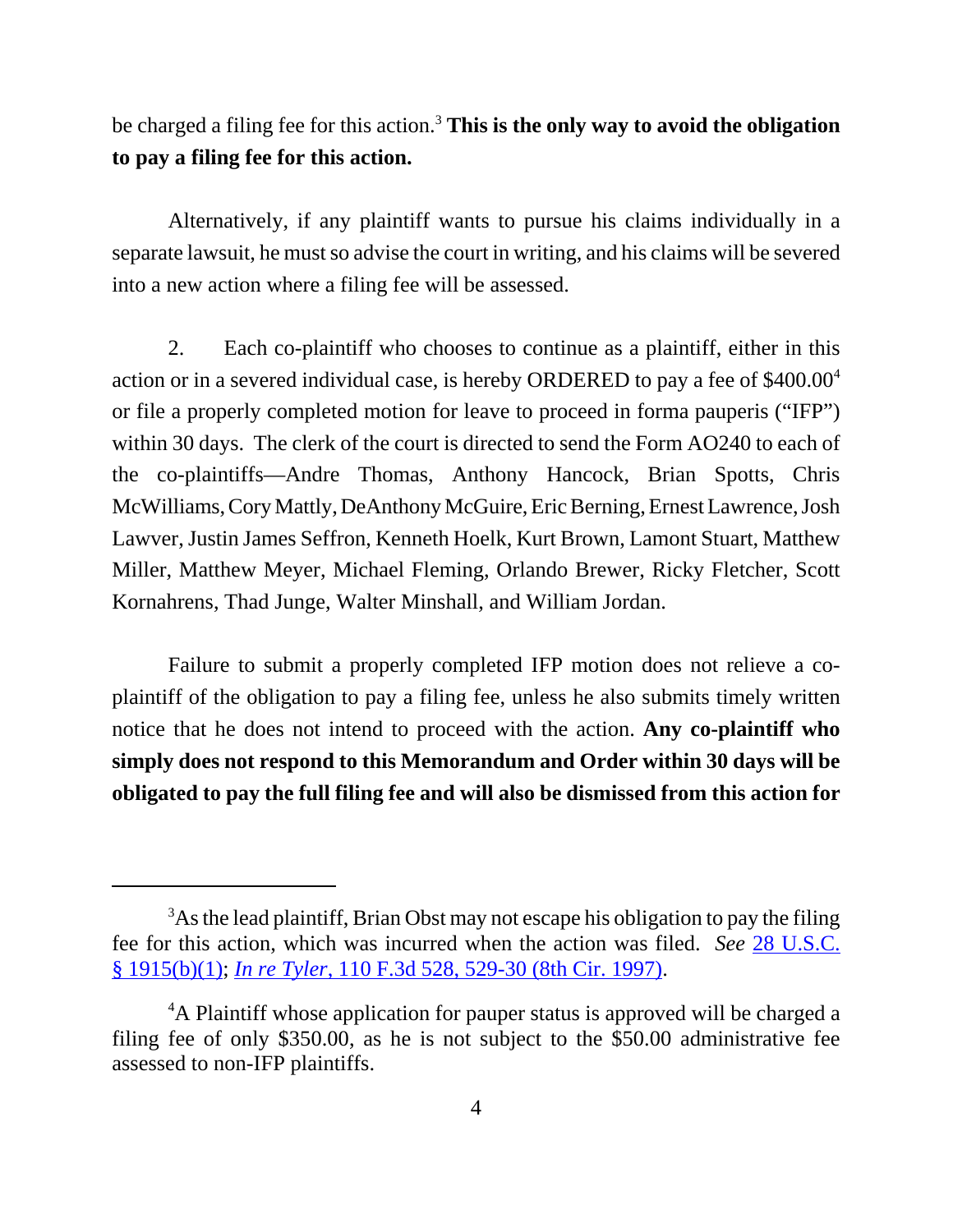be charged a filing fee for this action.<sup>3</sup> **This is the only way to avoid the obligation to pay a filing fee for this action.**

Alternatively, if any plaintiff wants to pursue his claims individually in a separate lawsuit, he must so advise the court in writing, and his claims will be severed into a new action where a filing fee will be assessed.

2. Each co-plaintiff who chooses to continue as a plaintiff, either in this action or in a severed individual case, is hereby ORDERED to pay a fee of \$400.00<sup>4</sup> or file a properly completed motion for leave to proceed in forma pauperis ("IFP") within 30 days. The clerk of the court is directed to send the Form AO240 to each of the co-plaintiffs—Andre Thomas, Anthony Hancock, Brian Spotts, Chris McWilliams, Cory Mattly, DeAnthony McGuire, Eric Berning, Ernest Lawrence, Josh Lawver, Justin James Seffron, Kenneth Hoelk, Kurt Brown, Lamont Stuart, Matthew Miller, Matthew Meyer, Michael Fleming, Orlando Brewer, Ricky Fletcher, Scott Kornahrens, Thad Junge, Walter Minshall, and William Jordan.

Failure to submit a properly completed IFP motion does not relieve a coplaintiff of the obligation to pay a filing fee, unless he also submits timely written notice that he does not intend to proceed with the action. **Any co-plaintiff who simply does not respond to this Memorandum and Order within 30 days will be obligated to pay the full filing fee and will also be dismissed from this action for**

<sup>&</sup>lt;sup>3</sup>As the lead plaintiff, Brian Obst may not escape his obligation to pay the filing fee for this action, which was incurred when the action was filed. *See* 28 U.S.C. § 1915(b)(1); *In re Tyler*, 110 F.3d 528, 529-30 (8th Cir. 1997).

<sup>&</sup>lt;sup>4</sup>A Plaintiff whose application for pauper status is approved will be charged a filing fee of only \$350.00, as he is not subject to the \$50.00 administrative fee assessed to non-IFP plaintiffs.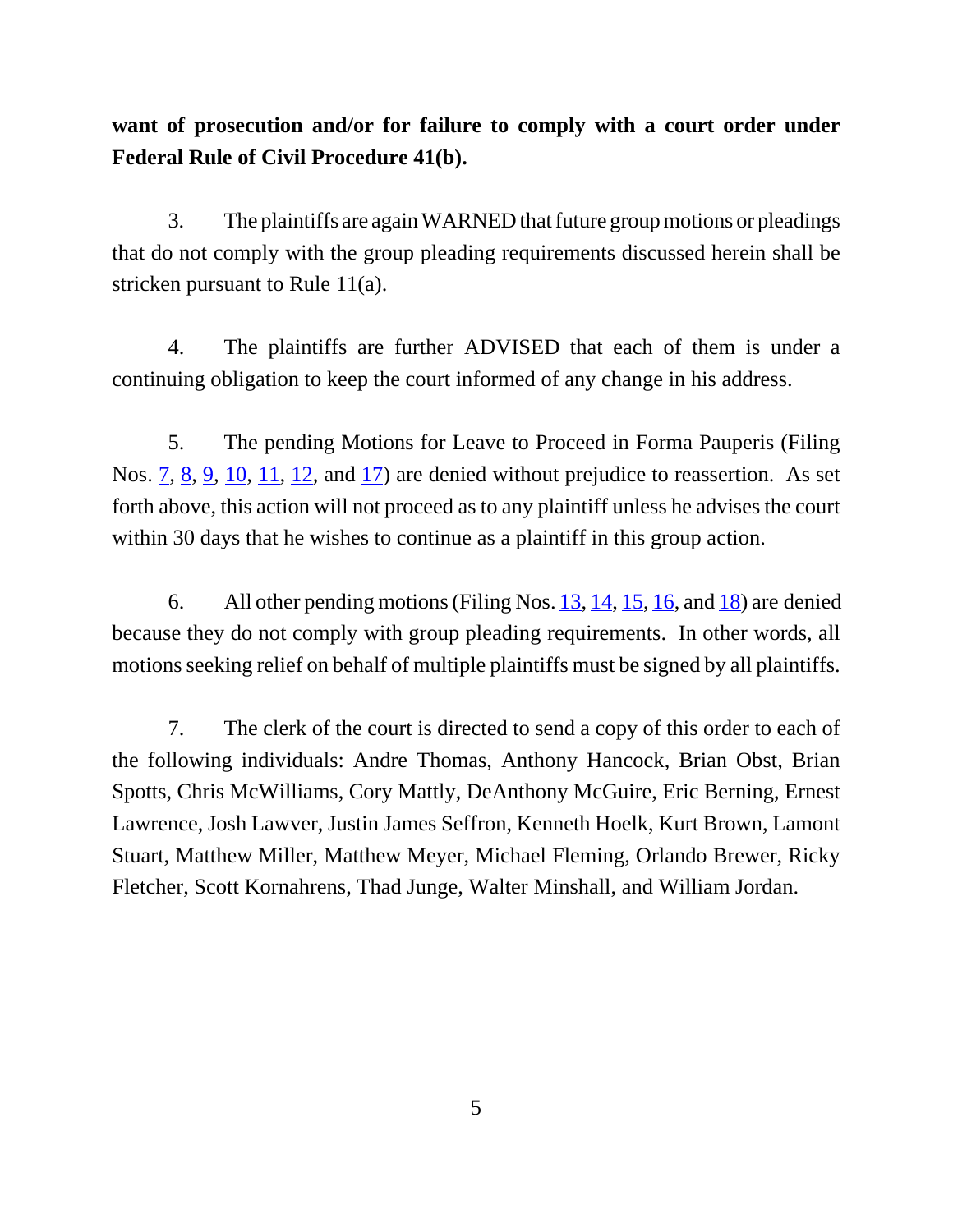# **want of prosecution and/or for failure to comply with a court order under Federal Rule of Civil Procedure 41(b).**

3. The plaintiffs are again WARNED that future group motions or pleadings that do not comply with the group pleading requirements discussed herein shall be stricken pursuant to Rule 11(a).

4. The plaintiffs are further ADVISED that each of them is under a continuing obligation to keep the court informed of any change in his address.

5. The pending Motions for Leave to Proceed in Forma Pauperis (Filing Nos. 7, 8, 9, 10, 11, 12, and 17) are denied without prejudice to reassertion. As set forth above, this action will not proceed as to any plaintiff unless he advises the court within 30 days that he wishes to continue as a plaintiff in this group action.

6. All other pending motions (Filing Nos. 13, 14, 15, 16, and 18) are denied because they do not comply with group pleading requirements. In other words, all motions seeking relief on behalf of multiple plaintiffs must be signed by all plaintiffs.

7. The clerk of the court is directed to send a copy of this order to each of the following individuals: Andre Thomas, Anthony Hancock, Brian Obst, Brian Spotts, Chris McWilliams, Cory Mattly, DeAnthony McGuire, Eric Berning, Ernest Lawrence, Josh Lawver, Justin James Seffron, Kenneth Hoelk, Kurt Brown, Lamont Stuart, Matthew Miller, Matthew Meyer, Michael Fleming, Orlando Brewer, Ricky Fletcher, Scott Kornahrens, Thad Junge, Walter Minshall, and William Jordan.